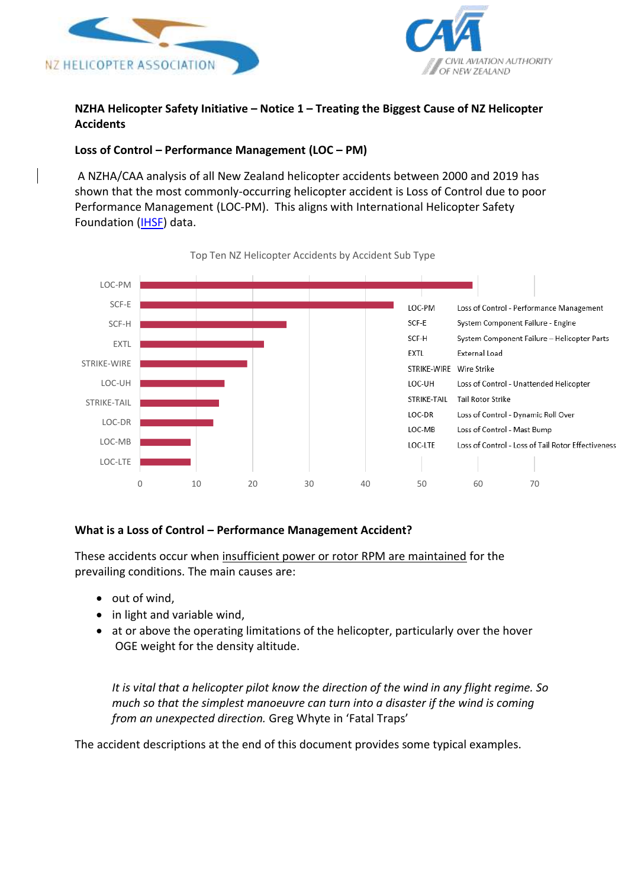



# **NZHA Helicopter Safety Initiative – Notice 1 – Treating the Biggest Cause of NZ Helicopter Accidents**

# **Loss of Control – Performance Management (LOC – PM)**

A NZHA/CAA analysis of all New Zealand helicopter accidents between 2000 and 2019 has shown that the most commonly-occurring helicopter accident is Loss of Control due to poor Performance Management (LOC-PM). This aligns with International Helicopter Safety Foundation [\(IHSF\)](about:blank) data.



#### Top Ten NZ Helicopter Accidents by Accident Sub Type

### **What is a Loss of Control – Performance Management Accident?**

These accidents occur when insufficient power or rotor RPM are maintained for the prevailing conditions. The main causes are:

- out of wind,
- in light and variable wind,
- at or above the operating limitations of the helicopter, particularly over the hover OGE weight for the density altitude.

*It is vital that a helicopter pilot know the direction of the wind in any flight regime. So much so that the simplest manoeuvre can turn into a disaster if the wind is coming from an unexpected direction.* Greg Whyte in 'Fatal Traps'

The accident descriptions at the end of this document provides some typical examples.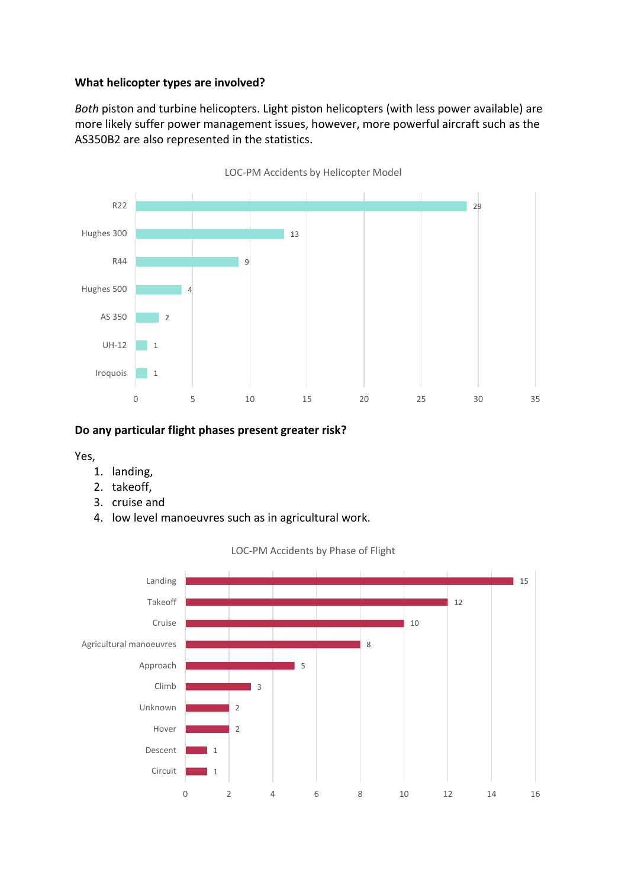## **What helicopter types are involved?**

*Both* piston and turbine helicopters. Light piston helicopters (with less power available) are more likely suffer power management issues, however, more powerful aircraft such as the AS350B2 are also represented in the statistics.



### **Do any particular flight phases present greater risk?**

Yes,

- 1. landing,
- 2. takeoff,
- 3. cruise and
- 4. low level manoeuvres such as in agricultural work.



LOC-PM Accidents by Phase of Flight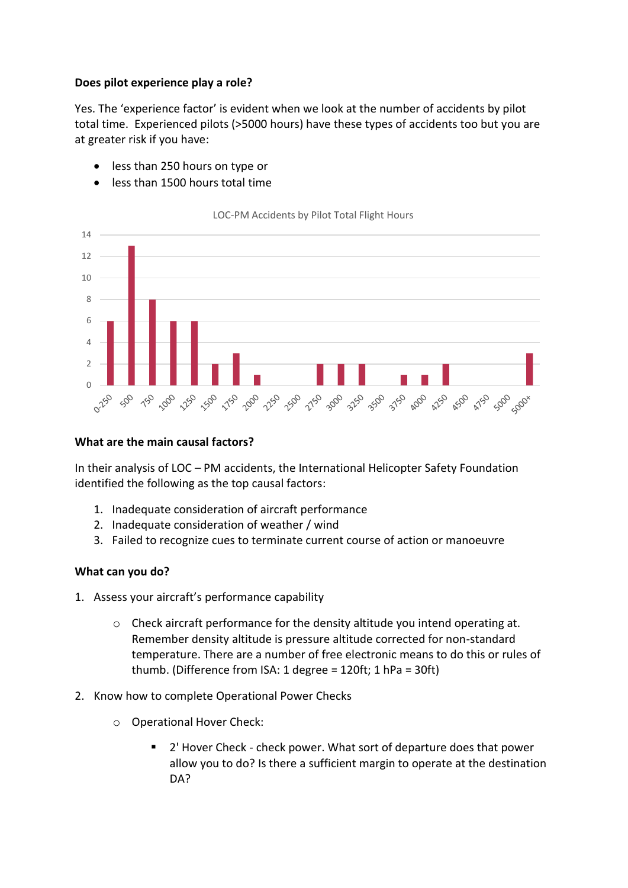## **Does pilot experience play a role?**

Yes. The 'experience factor' is evident when we look at the number of accidents by pilot total time. Experienced pilots (>5000 hours) have these types of accidents too but you are at greater risk if you have:

- less than 250 hours on type or
- less than 1500 hours total time



LOC-PM Accidents by Pilot Total Flight Hours

## **What are the main causal factors?**

In their analysis of LOC – PM accidents, the International Helicopter Safety Foundation identified the following as the top causal factors:

- 1. Inadequate consideration of aircraft performance
- 2. Inadequate consideration of weather / wind
- 3. Failed to recognize cues to terminate current course of action or manoeuvre

# **What can you do?**

- 1. Assess your aircraft's performance capability
	- $\circ$  Check aircraft performance for the density altitude you intend operating at. Remember density altitude is pressure altitude corrected for non-standard temperature. There are a number of free electronic means to do this or rules of thumb. (Difference from ISA: 1 degree = 120ft; 1 hPa = 30ft)
- 2. Know how to complete Operational Power Checks
	- o Operational Hover Check:
		- 2' Hover Check check power. What sort of departure does that power allow you to do? Is there a sufficient margin to operate at the destination DA?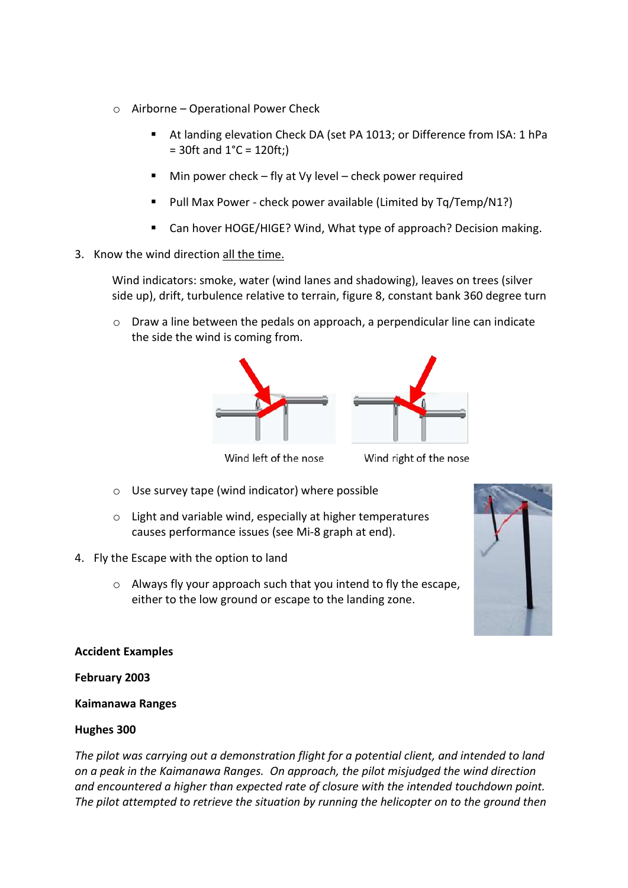- o Airborne Operational Power Check
	- At landing elevation Check DA (set PA 1013; or Difference from ISA: 1 hPa  $= 30$ ft and  $1^{\circ}$ C = 120ft;)
	- Min power check fly at Vy level check power required
	- Pull Max Power check power available (Limited by Tq/Temp/N1?)
	- Can hover HOGE/HIGE? Wind, What type of approach? Decision making.
- 3. Know the wind direction all the time.

Wind indicators: smoke, water (wind lanes and shadowing), leaves on trees (silver side up), drift, turbulence relative to terrain, figure 8, constant bank 360 degree turn

 $\circ$  Draw a line between the pedals on approach, a perpendicular line can indicate the side the wind is coming from.



Wind left of the nose

Wind right of the nose

- o Use survey tape (wind indicator) where possible
- o Light and variable wind, especially at higher temperatures causes performance issues (see Mi-8 graph at end).
- 4. Fly the Escape with the option to land
	- o Always fly your approach such that you intend to fly the escape, either to the low ground or escape to the landing zone.



### **Accident Examples**

### **February 2003**

### **Kaimanawa Ranges**

### **Hughes 300**

*The pilot was carrying out a demonstration flight for a potential client, and intended to land on a peak in the Kaimanawa Ranges. On approach, the pilot misjudged the wind direction and encountered a higher than expected rate of closure with the intended touchdown point. The pilot attempted to retrieve the situation by running the helicopter on to the ground then*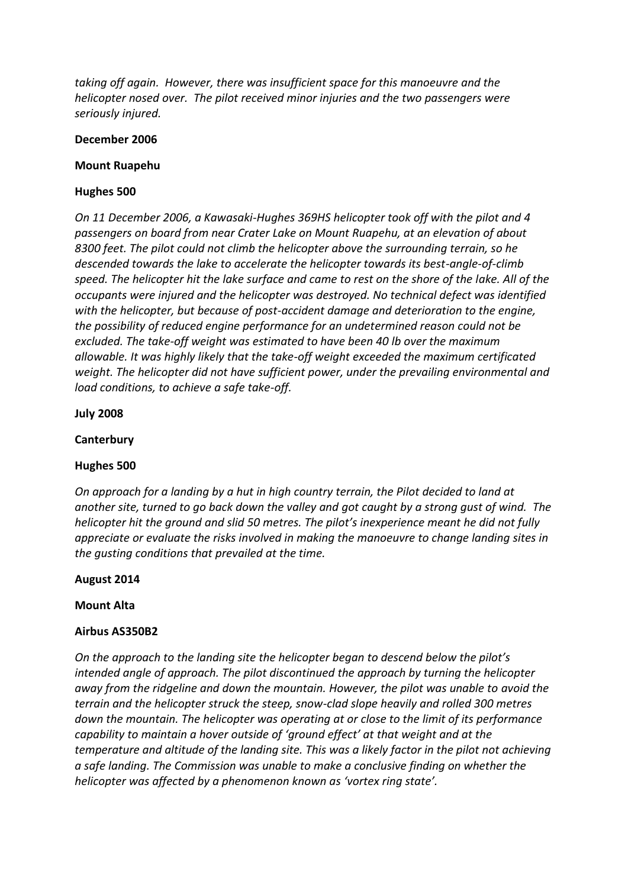*taking off again. However, there was insufficient space for this manoeuvre and the helicopter nosed over. The pilot received minor injuries and the two passengers were seriously injured.*

#### **December 2006**

#### **Mount Ruapehu**

### **Hughes 500**

*On 11 December 2006, a Kawasaki-Hughes 369HS helicopter took off with the pilot and 4 passengers on board from near Crater Lake on Mount Ruapehu, at an elevation of about 8300 feet. The pilot could not climb the helicopter above the surrounding terrain, so he descended towards the lake to accelerate the helicopter towards its best-angle-of-climb speed. The helicopter hit the lake surface and came to rest on the shore of the lake. All of the occupants were injured and the helicopter was destroyed. No technical defect was identified with the helicopter, but because of post-accident damage and deterioration to the engine, the possibility of reduced engine performance for an undetermined reason could not be excluded. The take-off weight was estimated to have been 40 lb over the maximum allowable. It was highly likely that the take-off weight exceeded the maximum certificated weight. The helicopter did not have sufficient power, under the prevailing environmental and load conditions, to achieve a safe take-off.*

**July 2008**

#### **Canterbury**

### **Hughes 500**

*On approach for a landing by a hut in high country terrain, the Pilot decided to land at another site, turned to go back down the valley and got caught by a strong gust of wind. The helicopter hit the ground and slid 50 metres. The pilot's inexperience meant he did not fully appreciate or evaluate the risks involved in making the manoeuvre to change landing sites in the gusting conditions that prevailed at the time.*

#### **August 2014**

#### **Mount Alta**

### **Airbus AS350B2**

*On the approach to the landing site the helicopter began to descend below the pilot's intended angle of approach. The pilot discontinued the approach by turning the helicopter away from the ridgeline and down the mountain. However, the pilot was unable to avoid the terrain and the helicopter struck the steep, snow-clad slope heavily and rolled 300 metres down the mountain. The helicopter was operating at or close to the limit of its performance capability to maintain a hover outside of 'ground effect' at that weight and at the temperature and altitude of the landing site. This was a likely factor in the pilot not achieving a safe landing. The Commission was unable to make a conclusive finding on whether the helicopter was affected by a phenomenon known as 'vortex ring state'.*